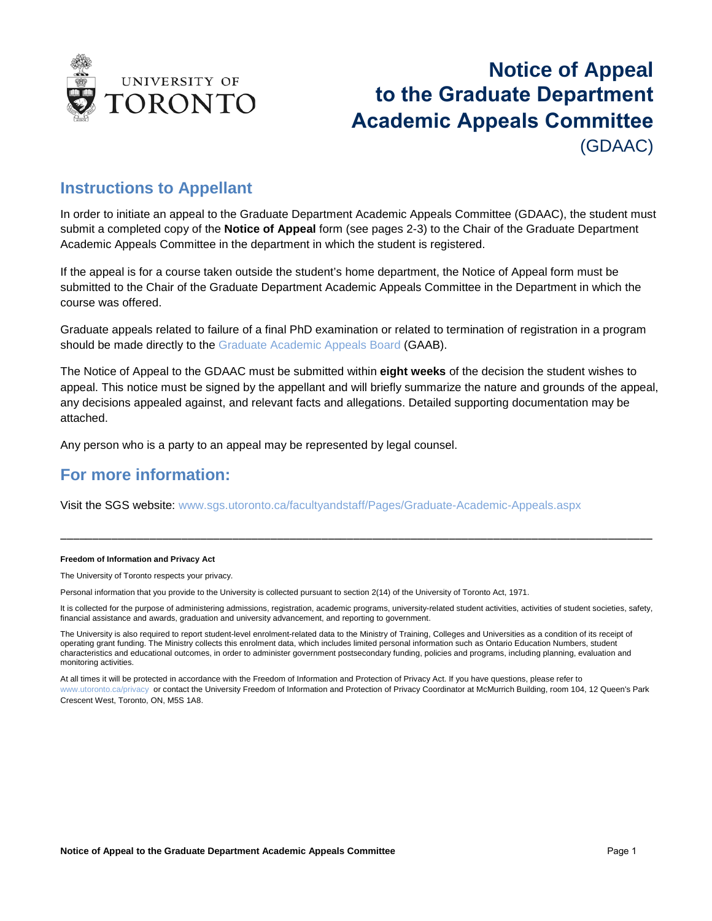

## **Notice of Appeal to the Graduate Department Academic Appeals Committee** (GDAAC)

### **Instructions to Appellant**

In order to initiate an appeal to the Graduate Department Academic Appeals Committee (GDAAC), the student must submit a completed copy of the **Notice of Appeal** form (see pages 2-3) to the Chair of the Graduate Department Academic Appeals Committee in the department in which the student is registered.

If the appeal is for a course taken outside the student's home department, the Notice of Appeal form must be submitted to the Chair of the Graduate Department Academic Appeals Committee in the Department in which the course was offered.

Graduate appeals related to failure of a final PhD examination or related to termination of registration in a program should be made directly to the Graduate Academic Appeals Board (GAAB).

The Notice of Appeal to the GDAAC must be submitted within **eight weeks** of the decision the student wishes to appeal. This notice must be signed by the appellant and will briefly summarize the nature and grounds of the appeal, any decisions appealed against, and relevant facts and allegations. Detailed supporting documentation may be attached.

Any person who is a party to an appeal may be represented by legal counsel.

### **For more information:**

Visit the SGS website: [www.sgs.utoronto.ca/facultyandstaff/Pages/Graduate-Academic-Appeals.aspx](http://www.sgs.utoronto.ca/facultyandstaff/Pages/Graduate-Academic-Appeals.aspx)

#### **Freedom of Information and Privacy Act**

The University of Toronto respects your privacy.

Personal information that you provide to the University is collected pursuant to section 2(14) of the University of Toronto Act, 1971.

It is collected for the purpose of administering admissions, registration, academic programs, university-related student activities, activities of student societies, safety, financial assistance and awards, graduation and university advancement, and reporting to government.

\_\_\_\_\_\_\_\_\_\_\_\_\_\_\_\_\_\_\_\_\_\_\_\_\_\_\_\_\_\_\_\_\_\_\_\_\_\_\_\_\_\_\_\_\_\_\_\_\_\_\_\_\_\_\_\_\_\_\_\_\_\_\_\_\_\_\_\_\_\_\_\_\_\_\_\_\_\_\_\_\_\_\_\_\_\_\_\_\_\_\_\_\_

The University is also required to report student-level enrolment-related data to the Ministry of Training, Colleges and Universities as a condition of its receipt of operating grant funding. The Ministry collects this enrolment data, which includes limited personal information such as Ontario Education Numbers, student characteristics and educational outcomes, in order to administer government postsecondary funding, policies and programs, including planning, evaluation and monitoring activities.

At all times it will be protected in accordance with the Freedom of Information and Protection of Privacy Act. If you have questions, please refer to [www.utoronto.ca/privacy](http://www.utoronto.ca/privacy) or contact the University Freedom of Information and Protection of Privacy Coordinator at McMurrich Building, room 104, 12 Queen's Park Crescent West, Toronto, ON, M5S 1A8.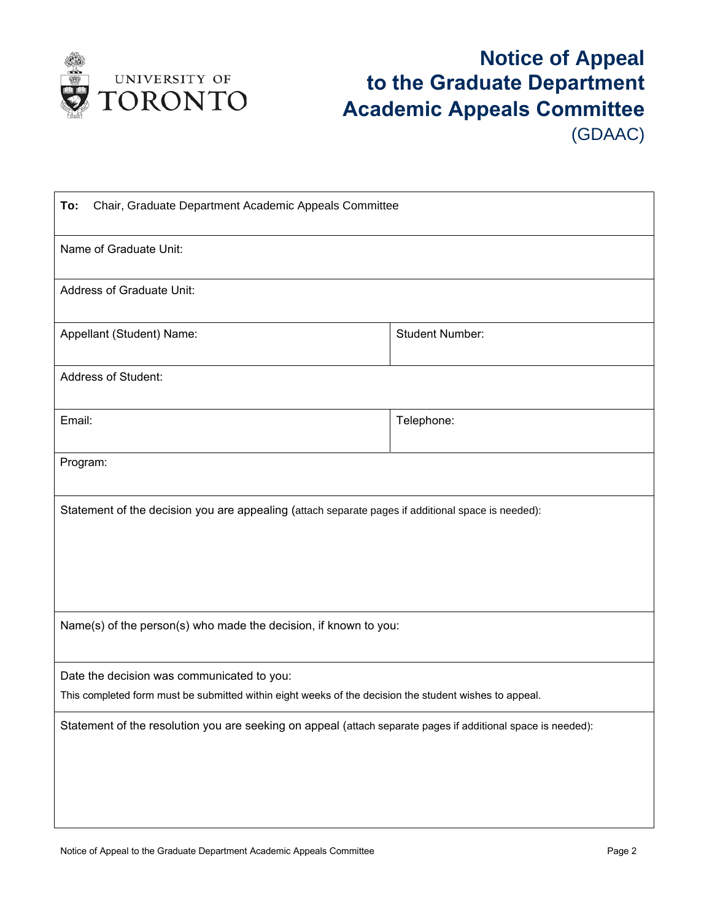

# **Notice of Appeal to the Graduate Department Academic Appeals Committee** (GDAAC)

| Chair, Graduate Department Academic Appeals Committee<br>To:                                                                                         |                        |  |
|------------------------------------------------------------------------------------------------------------------------------------------------------|------------------------|--|
| Name of Graduate Unit:                                                                                                                               |                        |  |
| <b>Address of Graduate Unit:</b>                                                                                                                     |                        |  |
| Appellant (Student) Name:                                                                                                                            | <b>Student Number:</b> |  |
| <b>Address of Student:</b>                                                                                                                           |                        |  |
| Email:                                                                                                                                               | Telephone:             |  |
| Program:                                                                                                                                             |                        |  |
| Statement of the decision you are appealing (attach separate pages if additional space is needed):                                                   |                        |  |
| Name(s) of the person(s) who made the decision, if known to you:                                                                                     |                        |  |
| Date the decision was communicated to you:<br>This completed form must be submitted within eight weeks of the decision the student wishes to appeal. |                        |  |
| Statement of the resolution you are seeking on appeal (attach separate pages if additional space is needed):                                         |                        |  |